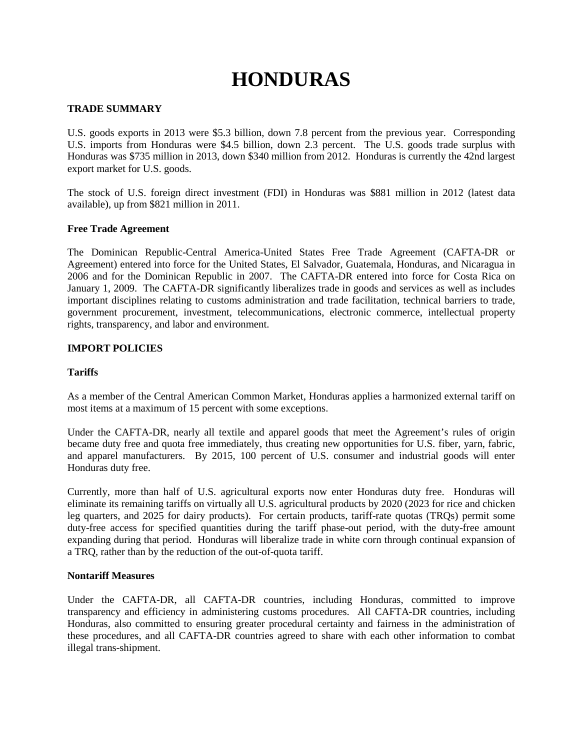# **HONDURAS**

## **TRADE SUMMARY**

U.S. goods exports in 2013 were \$5.3 billion, down 7.8 percent from the previous year. Corresponding U.S. imports from Honduras were \$4.5 billion, down 2.3 percent. The U.S. goods trade surplus with Honduras was \$735 million in 2013, down \$340 million from 2012. Honduras is currently the 42nd largest export market for U.S. goods.

The stock of U.S. foreign direct investment (FDI) in Honduras was \$881 million in 2012 (latest data available), up from \$821 million in 2011.

## **Free Trade Agreement**

The Dominican Republic-Central America-United States Free Trade Agreement (CAFTA-DR or Agreement) entered into force for the United States, El Salvador, Guatemala, Honduras, and Nicaragua in 2006 and for the Dominican Republic in 2007. The CAFTA-DR entered into force for Costa Rica on January 1, 2009. The CAFTA-DR significantly liberalizes trade in goods and services as well as includes important disciplines relating to customs administration and trade facilitation, technical barriers to trade, government procurement, investment, telecommunications, electronic commerce, intellectual property rights, transparency, and labor and environment.

### **IMPORT POLICIES**

## **Tariffs**

As a member of the Central American Common Market, Honduras applies a harmonized external tariff on most items at a maximum of 15 percent with some exceptions.

Under the CAFTA-DR, nearly all textile and apparel goods that meet the Agreement's rules of origin became duty free and quota free immediately, thus creating new opportunities for U.S. fiber, yarn, fabric, and apparel manufacturers. By 2015, 100 percent of U.S. consumer and industrial goods will enter Honduras duty free.

Currently, more than half of U.S. agricultural exports now enter Honduras duty free. Honduras will eliminate its remaining tariffs on virtually all U.S. agricultural products by 2020 (2023 for rice and chicken leg quarters, and 2025 for dairy products). For certain products, tariff-rate quotas (TRQs) permit some duty-free access for specified quantities during the tariff phase-out period, with the duty-free amount expanding during that period. Honduras will liberalize trade in white corn through continual expansion of a TRQ, rather than by the reduction of the out-of-quota tariff.

#### **Nontariff Measures**

Under the CAFTA-DR, all CAFTA-DR countries, including Honduras, committed to improve transparency and efficiency in administering customs procedures. All CAFTA-DR countries, including Honduras, also committed to ensuring greater procedural certainty and fairness in the administration of these procedures, and all CAFTA-DR countries agreed to share with each other information to combat illegal trans-shipment.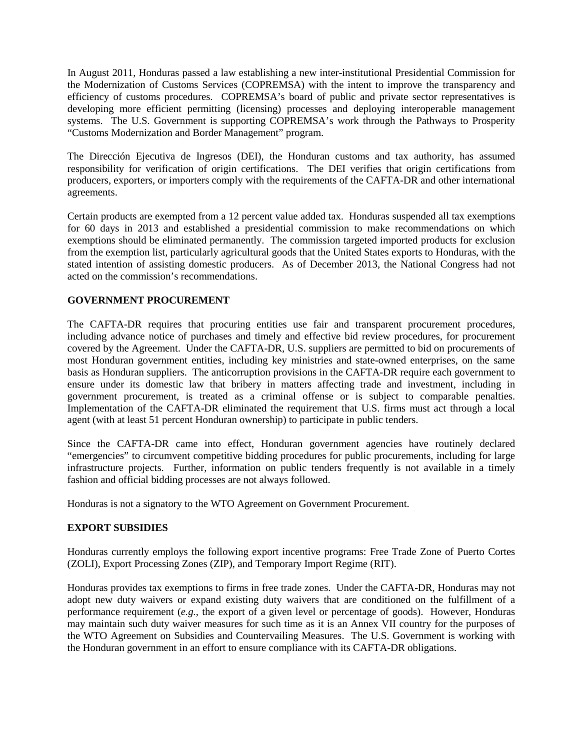In August 2011, Honduras passed a law establishing a new inter-institutional Presidential Commission for the Modernization of Customs Services (COPREMSA) with the intent to improve the transparency and efficiency of customs procedures. COPREMSA's board of public and private sector representatives is developing more efficient permitting (licensing) processes and deploying interoperable management systems. The U.S. Government is supporting COPREMSA's work through the Pathways to Prosperity "Customs Modernization and Border Management" program.

The Dirección Ejecutiva de Ingresos (DEI), the Honduran customs and tax authority, has assumed responsibility for verification of origin certifications. The DEI verifies that origin certifications from producers, exporters, or importers comply with the requirements of the CAFTA-DR and other international agreements.

Certain products are exempted from a 12 percent value added tax. Honduras suspended all tax exemptions for 60 days in 2013 and established a presidential commission to make recommendations on which exemptions should be eliminated permanently. The commission targeted imported products for exclusion from the exemption list, particularly agricultural goods that the United States exports to Honduras, with the stated intention of assisting domestic producers. As of December 2013, the National Congress had not acted on the commission's recommendations.

## **GOVERNMENT PROCUREMENT**

The CAFTA-DR requires that procuring entities use fair and transparent procurement procedures, including advance notice of purchases and timely and effective bid review procedures, for procurement covered by the Agreement. Under the CAFTA-DR, U.S. suppliers are permitted to bid on procurements of most Honduran government entities, including key ministries and state-owned enterprises, on the same basis as Honduran suppliers. The anticorruption provisions in the CAFTA-DR require each government to ensure under its domestic law that bribery in matters affecting trade and investment, including in government procurement, is treated as a criminal offense or is subject to comparable penalties. Implementation of the CAFTA-DR eliminated the requirement that U.S. firms must act through a local agent (with at least 51 percent Honduran ownership) to participate in public tenders.

Since the CAFTA-DR came into effect, Honduran government agencies have routinely declared "emergencies" to circumvent competitive bidding procedures for public procurements, including for large infrastructure projects. Further, information on public tenders frequently is not available in a timely fashion and official bidding processes are not always followed.

Honduras is not a signatory to the WTO Agreement on Government Procurement.

# **EXPORT SUBSIDIES**

Honduras currently employs the following export incentive programs: Free Trade Zone of Puerto Cortes (ZOLI), Export Processing Zones (ZIP), and Temporary Import Regime (RIT).

Honduras provides tax exemptions to firms in free trade zones. Under the CAFTA-DR, Honduras may not adopt new duty waivers or expand existing duty waivers that are conditioned on the fulfillment of a performance requirement (*e.g.*, the export of a given level or percentage of goods). However, Honduras may maintain such duty waiver measures for such time as it is an Annex VII country for the purposes of the WTO Agreement on Subsidies and Countervailing Measures. The U.S. Government is working with the Honduran government in an effort to ensure compliance with its CAFTA-DR obligations.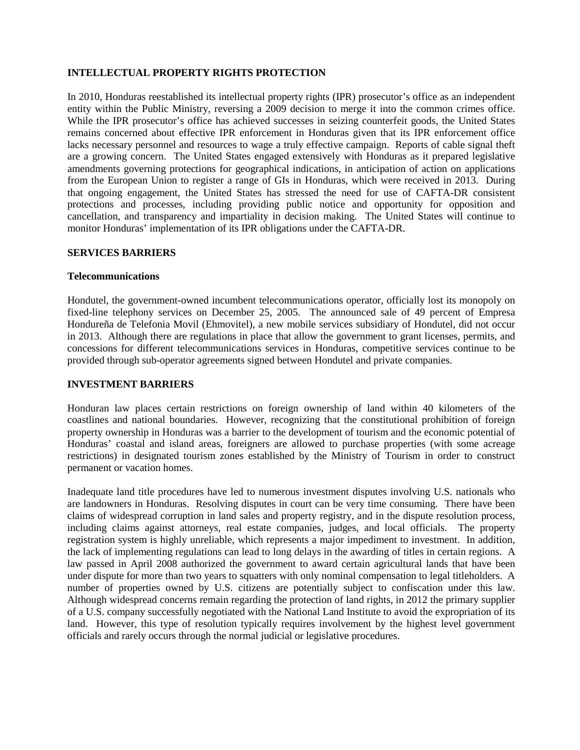# **INTELLECTUAL PROPERTY RIGHTS PROTECTION**

In 2010, Honduras reestablished its intellectual property rights (IPR) prosecutor's office as an independent entity within the Public Ministry, reversing a 2009 decision to merge it into the common crimes office. While the IPR prosecutor's office has achieved successes in seizing counterfeit goods, the United States remains concerned about effective IPR enforcement in Honduras given that its IPR enforcement office lacks necessary personnel and resources to wage a truly effective campaign. Reports of cable signal theft are a growing concern. The United States engaged extensively with Honduras as it prepared legislative amendments governing protections for geographical indications, in anticipation of action on applications from the European Union to register a range of GIs in Honduras, which were received in 2013. During that ongoing engagement, the United States has stressed the need for use of CAFTA-DR consistent protections and processes, including providing public notice and opportunity for opposition and cancellation, and transparency and impartiality in decision making. The United States will continue to monitor Honduras' implementation of its IPR obligations under the CAFTA-DR.

## **SERVICES BARRIERS**

### **Telecommunications**

Hondutel, the government-owned incumbent telecommunications operator, officially lost its monopoly on fixed-line telephony services on December 25, 2005. The announced sale of 49 percent of Empresa Hondureña de Telefonia Movil (Ehmovitel), a new mobile services subsidiary of Hondutel, did not occur in 2013. Although there are regulations in place that allow the government to grant licenses, permits, and concessions for different telecommunications services in Honduras, competitive services continue to be provided through sub-operator agreements signed between Hondutel and private companies.

#### **INVESTMENT BARRIERS**

Honduran law places certain restrictions on foreign ownership of land within 40 kilometers of the coastlines and national boundaries. However, recognizing that the constitutional prohibition of foreign property ownership in Honduras was a barrier to the development of tourism and the economic potential of Honduras' coastal and island areas, foreigners are allowed to purchase properties (with some acreage restrictions) in designated tourism zones established by the Ministry of Tourism in order to construct permanent or vacation homes.

Inadequate land title procedures have led to numerous investment disputes involving U.S. nationals who are landowners in Honduras. Resolving disputes in court can be very time consuming. There have been claims of widespread corruption in land sales and property registry, and in the dispute resolution process, including claims against attorneys, real estate companies, judges, and local officials. The property registration system is highly unreliable, which represents a major impediment to investment. In addition, the lack of implementing regulations can lead to long delays in the awarding of titles in certain regions. A law passed in April 2008 authorized the government to award certain agricultural lands that have been under dispute for more than two years to squatters with only nominal compensation to legal titleholders. A number of properties owned by U.S. citizens are potentially subject to confiscation under this law. Although widespread concerns remain regarding the protection of land rights, in 2012 the primary supplier of a U.S. company successfully negotiated with the National Land Institute to avoid the expropriation of its land. However, this type of resolution typically requires involvement by the highest level government officials and rarely occurs through the normal judicial or legislative procedures.